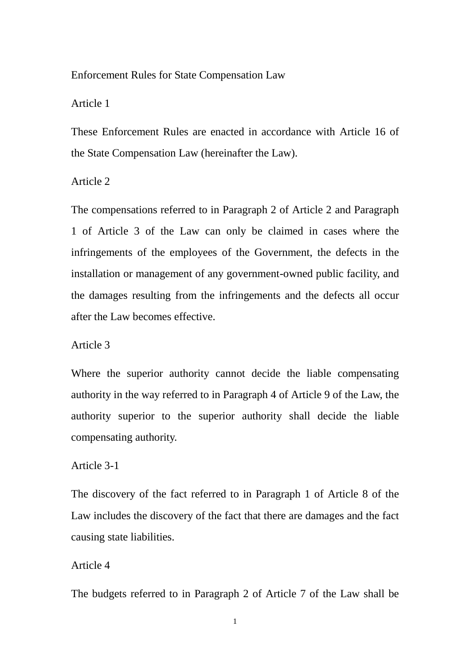### Enforcement Rules for State Compensation Law

Article 1

These Enforcement Rules are enacted in accordance with Article 16 of the State Compensation Law (hereinafter the Law).

Article 2

The compensations referred to in Paragraph 2 of Article 2 and Paragraph 1 of Article 3 of the Law can only be claimed in cases where the infringements of the employees of the Government, the defects in the installation or management of any government-owned public facility, and the damages resulting from the infringements and the defects all occur after the Law becomes effective.

Article 3

Where the superior authority cannot decide the liable compensating authority in the way referred to in Paragraph 4 of Article 9 of the Law, the authority superior to the superior authority shall decide the liable compensating authority.

Article 3-1

The discovery of the fact referred to in Paragraph 1 of Article 8 of the Law includes the discovery of the fact that there are damages and the fact causing state liabilities.

Article 4

The budgets referred to in Paragraph 2 of Article 7 of the Law shall be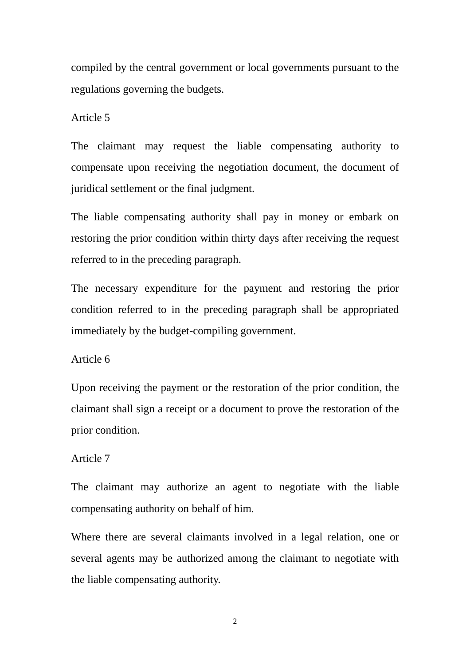compiled by the central government or local governments pursuant to the regulations governing the budgets.

Article 5

The claimant may request the liable compensating authority to compensate upon receiving the negotiation document, the document of juridical settlement or the final judgment.

The liable compensating authority shall pay in money or embark on restoring the prior condition within thirty days after receiving the request referred to in the preceding paragraph.

The necessary expenditure for the payment and restoring the prior condition referred to in the preceding paragraph shall be appropriated immediately by the budget-compiling government.

### Article 6

Upon receiving the payment or the restoration of the prior condition, the claimant shall sign a receipt or a document to prove the restoration of the prior condition.

### Article 7

The claimant may authorize an agent to negotiate with the liable compensating authority on behalf of him.

Where there are several claimants involved in a legal relation, one or several agents may be authorized among the claimant to negotiate with the liable compensating authority.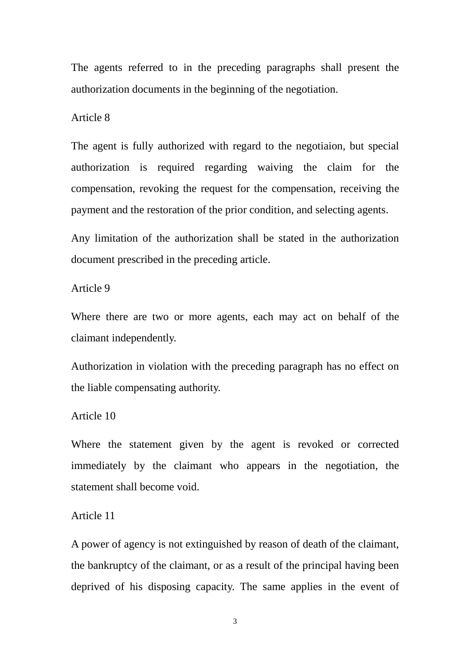The agents referred to in the preceding paragraphs shall present the authorization documents in the beginning of the negotiation.

Article 8

The agent is fully authorized with regard to the negotiaion, but special authorization is required regarding waiving the claim for the compensation, revoking the request for the compensation, receiving the payment and the restoration of the prior condition, and selecting agents.

Any limitation of the authorization shall be stated in the authorization document prescribed in the preceding article.

Article 9

Where there are two or more agents, each may act on behalf of the claimant independently.

Authorization in violation with the preceding paragraph has no effect on the liable compensating authority.

Article 10

Where the statement given by the agent is revoked or corrected immediately by the claimant who appears in the negotiation, the statement shall become void.

Article 11

A power of agency is not extinguished by reason of death of the claimant, the bankruptcy of the claimant, or as a result of the principal having been deprived of his disposing capacity. The same applies in the event of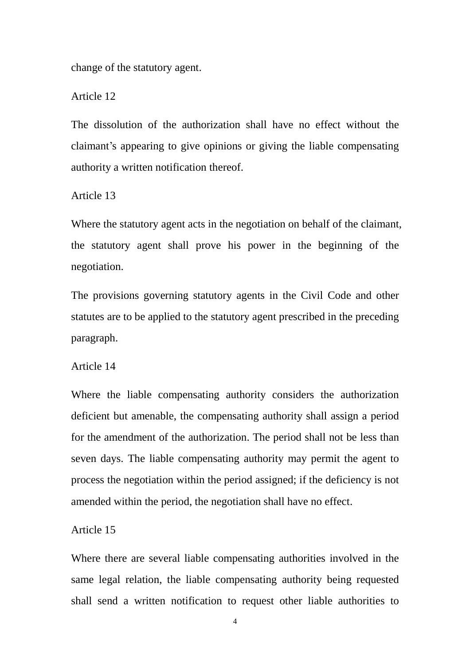change of the statutory agent.

Article 12

The dissolution of the authorization shall have no effect without the claimant's appearing to give opinions or giving the liable compensating authority a written notification thereof.

Article 13

Where the statutory agent acts in the negotiation on behalf of the claimant, the statutory agent shall prove his power in the beginning of the negotiation.

The provisions governing statutory agents in the Civil Code and other statutes are to be applied to the statutory agent prescribed in the preceding paragraph.

Article 14

Where the liable compensating authority considers the authorization deficient but amenable, the compensating authority shall assign a period for the amendment of the authorization. The period shall not be less than seven days. The liable compensating authority may permit the agent to process the negotiation within the period assigned; if the deficiency is not amended within the period, the negotiation shall have no effect.

Article 15

Where there are several liable compensating authorities involved in the same legal relation, the liable compensating authority being requested shall send a written notification to request other liable authorities to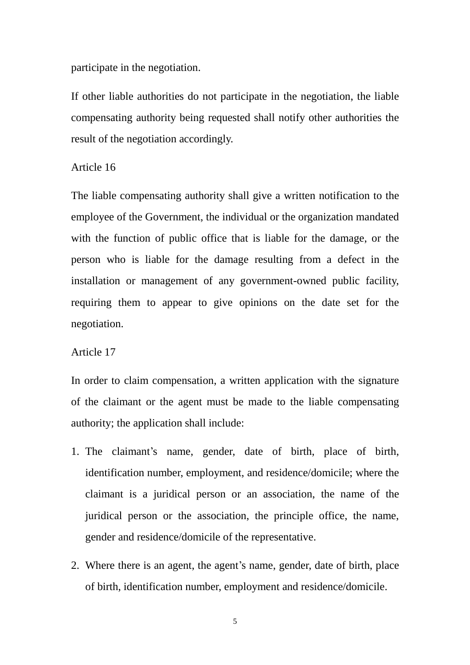participate in the negotiation.

If other liable authorities do not participate in the negotiation, the liable compensating authority being requested shall notify other authorities the result of the negotiation accordingly.

# Article 16

The liable compensating authority shall give a written notification to the employee of the Government, the individual or the organization mandated with the function of public office that is liable for the damage, or the person who is liable for the damage resulting from a defect in the installation or management of any government-owned public facility, requiring them to appear to give opinions on the date set for the negotiation.

### Article 17

In order to claim compensation, a written application with the signature of the claimant or the agent must be made to the liable compensating authority; the application shall include:

- 1. The claimant's name, gender, date of birth, place of birth, identification number, employment, and residence/domicile; where the claimant is a juridical person or an association, the name of the juridical person or the association, the principle office, the name, gender and residence/domicile of the representative.
- 2. Where there is an agent, the agent's name, gender, date of birth, place of birth, identification number, employment and residence/domicile.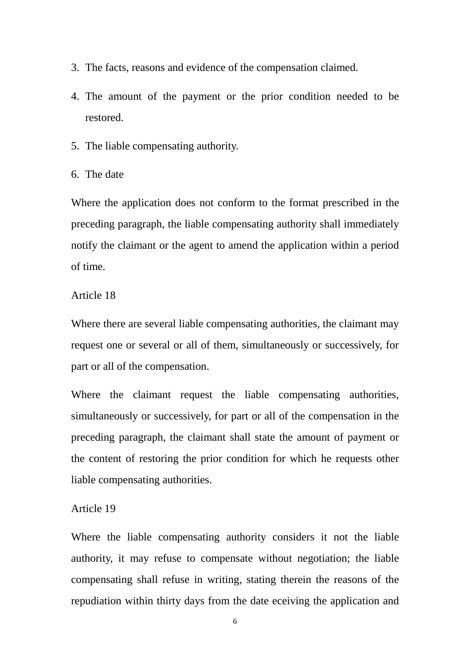- 3. The facts, reasons and evidence of the compensation claimed.
- 4. The amount of the payment or the prior condition needed to be restored.
- 5. The liable compensating authority.
- 6. The date

Where the application does not conform to the format prescribed in the preceding paragraph, the liable compensating authority shall immediately notify the claimant or the agent to amend the application within a period of time.

### Article 18

Where there are several liable compensating authorities, the claimant may request one or several or all of them, simultaneously or successively, for part or all of the compensation.

Where the claimant request the liable compensating authorities, simultaneously or successively, for part or all of the compensation in the preceding paragraph, the claimant shall state the amount of payment or the content of restoring the prior condition for which he requests other liable compensating authorities.

#### Article 19

Where the liable compensating authority considers it not the liable authority, it may refuse to compensate without negotiation; the liable compensating shall refuse in writing, stating therein the reasons of the repudiation within thirty days from the date eceiving the application and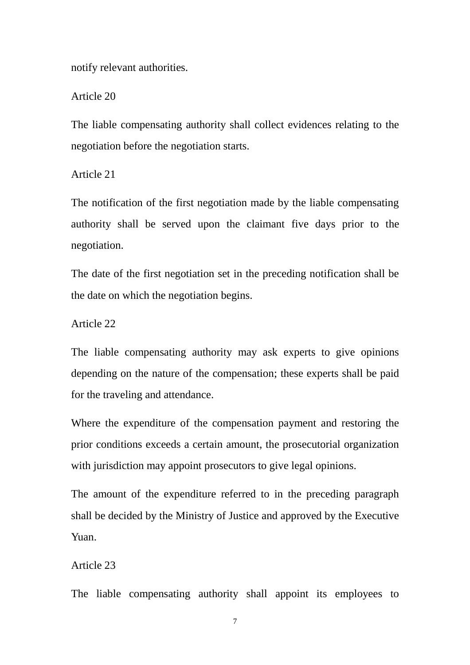notify relevant authorities.

Article 20

The liable compensating authority shall collect evidences relating to the negotiation before the negotiation starts.

Article 21

The notification of the first negotiation made by the liable compensating authority shall be served upon the claimant five days prior to the negotiation.

The date of the first negotiation set in the preceding notification shall be the date on which the negotiation begins.

Article 22

The liable compensating authority may ask experts to give opinions depending on the nature of the compensation; these experts shall be paid for the traveling and attendance.

Where the expenditure of the compensation payment and restoring the prior conditions exceeds a certain amount, the prosecutorial organization with jurisdiction may appoint prosecutors to give legal opinions.

The amount of the expenditure referred to in the preceding paragraph shall be decided by the Ministry of Justice and approved by the Executive Yuan.

## Article 23

The liable compensating authority shall appoint its employees to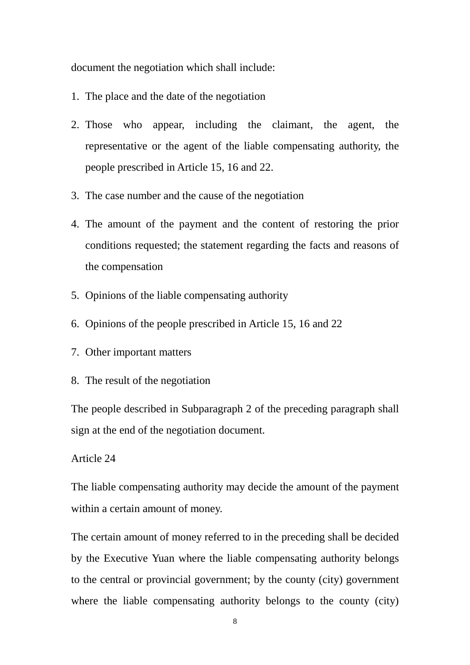document the negotiation which shall include:

- 1. The place and the date of the negotiation
- 2. Those who appear, including the claimant, the agent, the representative or the agent of the liable compensating authority, the people prescribed in Article 15, 16 and 22.
- 3. The case number and the cause of the negotiation
- 4. The amount of the payment and the content of restoring the prior conditions requested; the statement regarding the facts and reasons of the compensation
- 5. Opinions of the liable compensating authority
- 6. Opinions of the people prescribed in Article 15, 16 and 22
- 7. Other important matters
- 8. The result of the negotiation

The people described in Subparagraph 2 of the preceding paragraph shall sign at the end of the negotiation document.

## Article 24

The liable compensating authority may decide the amount of the payment within a certain amount of money.

The certain amount of money referred to in the preceding shall be decided by the Executive Yuan where the liable compensating authority belongs to the central or provincial government; by the county (city) government where the liable compensating authority belongs to the county (city)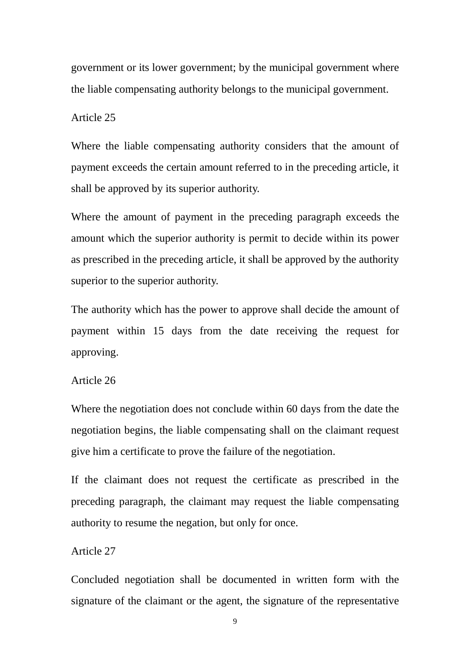government or its lower government; by the municipal government where the liable compensating authority belongs to the municipal government.

Article 25

Where the liable compensating authority considers that the amount of payment exceeds the certain amount referred to in the preceding article, it shall be approved by its superior authority.

Where the amount of payment in the preceding paragraph exceeds the amount which the superior authority is permit to decide within its power as prescribed in the preceding article, it shall be approved by the authority superior to the superior authority.

The authority which has the power to approve shall decide the amount of payment within 15 days from the date receiving the request for approving.

Article 26

Where the negotiation does not conclude within 60 days from the date the negotiation begins, the liable compensating shall on the claimant request give him a certificate to prove the failure of the negotiation.

If the claimant does not request the certificate as prescribed in the preceding paragraph, the claimant may request the liable compensating authority to resume the negation, but only for once.

Article 27

Concluded negotiation shall be documented in written form with the signature of the claimant or the agent, the signature of the representative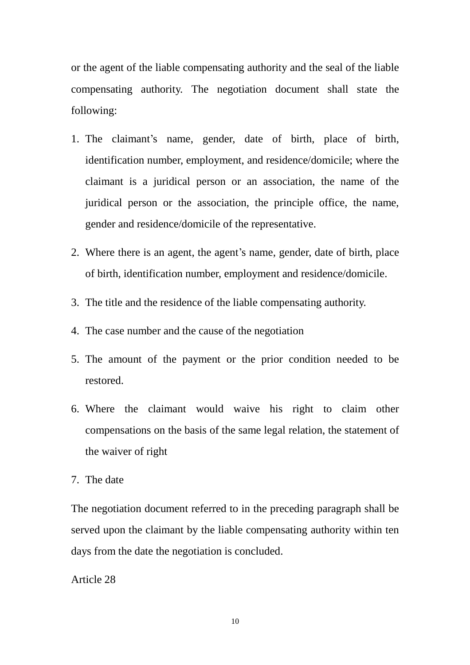or the agent of the liable compensating authority and the seal of the liable compensating authority. The negotiation document shall state the following:

- 1. The claimant's name, gender, date of birth, place of birth, identification number, employment, and residence/domicile; where the claimant is a juridical person or an association, the name of the juridical person or the association, the principle office, the name, gender and residence/domicile of the representative.
- 2. Where there is an agent, the agent's name, gender, date of birth, place of birth, identification number, employment and residence/domicile.
- 3. The title and the residence of the liable compensating authority.
- 4. The case number and the cause of the negotiation
- 5. The amount of the payment or the prior condition needed to be restored.
- 6. Where the claimant would waive his right to claim other compensations on the basis of the same legal relation, the statement of the waiver of right
- 7. The date

The negotiation document referred to in the preceding paragraph shall be served upon the claimant by the liable compensating authority within ten days from the date the negotiation is concluded.

Article 28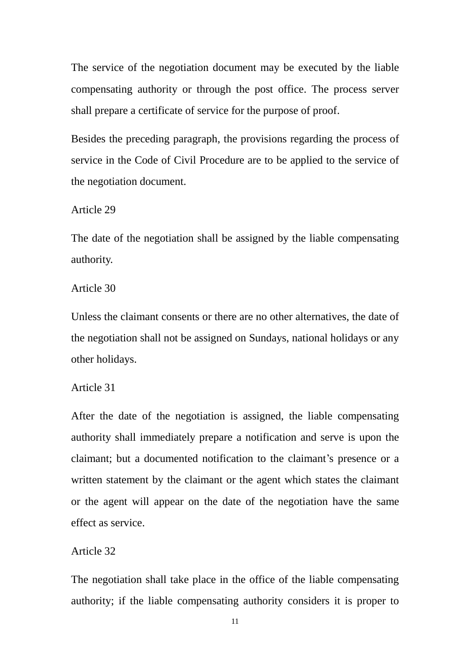The service of the negotiation document may be executed by the liable compensating authority or through the post office. The process server shall prepare a certificate of service for the purpose of proof.

Besides the preceding paragraph, the provisions regarding the process of service in the Code of Civil Procedure are to be applied to the service of the negotiation document.

Article 29

The date of the negotiation shall be assigned by the liable compensating authority.

Article 30

Unless the claimant consents or there are no other alternatives, the date of the negotiation shall not be assigned on Sundays, national holidays or any other holidays.

## Article 31

After the date of the negotiation is assigned, the liable compensating authority shall immediately prepare a notification and serve is upon the claimant; but a documented notification to the claimant's presence or a written statement by the claimant or the agent which states the claimant or the agent will appear on the date of the negotiation have the same effect as service.

### Article 32

The negotiation shall take place in the office of the liable compensating authority; if the liable compensating authority considers it is proper to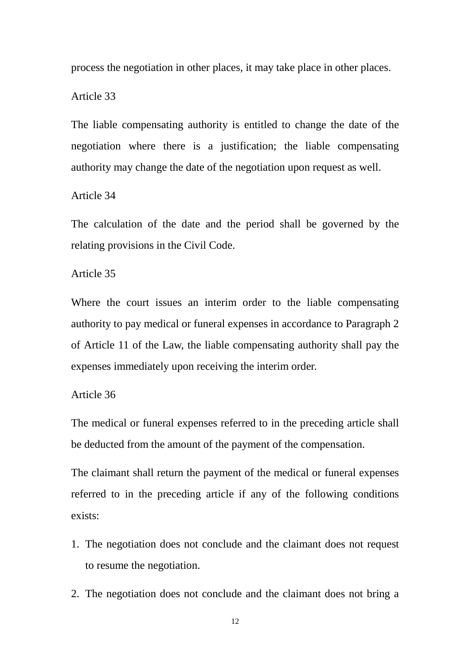process the negotiation in other places, it may take place in other places.

### Article 33

The liable compensating authority is entitled to change the date of the negotiation where there is a justification; the liable compensating authority may change the date of the negotiation upon request as well.

## Article 34

The calculation of the date and the period shall be governed by the relating provisions in the Civil Code.

### Article 35

Where the court issues an interim order to the liable compensating authority to pay medical or funeral expenses in accordance to Paragraph 2 of Article 11 of the Law, the liable compensating authority shall pay the expenses immediately upon receiving the interim order.

### Article 36

The medical or funeral expenses referred to in the preceding article shall be deducted from the amount of the payment of the compensation.

The claimant shall return the payment of the medical or funeral expenses referred to in the preceding article if any of the following conditions exists:

- 1. The negotiation does not conclude and the claimant does not request to resume the negotiation.
- 2. The negotiation does not conclude and the claimant does not bring a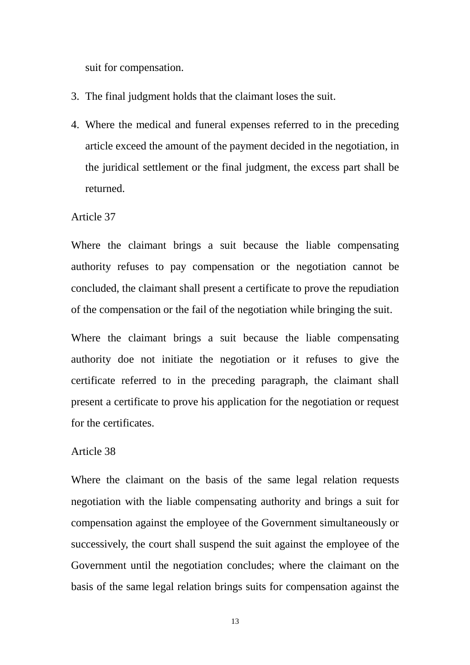suit for compensation.

- 3. The final judgment holds that the claimant loses the suit.
- 4. Where the medical and funeral expenses referred to in the preceding article exceed the amount of the payment decided in the negotiation, in the juridical settlement or the final judgment, the excess part shall be returned.

### Article 37

Where the claimant brings a suit because the liable compensating authority refuses to pay compensation or the negotiation cannot be concluded, the claimant shall present a certificate to prove the repudiation of the compensation or the fail of the negotiation while bringing the suit.

Where the claimant brings a suit because the liable compensating authority doe not initiate the negotiation or it refuses to give the certificate referred to in the preceding paragraph, the claimant shall present a certificate to prove his application for the negotiation or request for the certificates.

### Article 38

Where the claimant on the basis of the same legal relation requests negotiation with the liable compensating authority and brings a suit for compensation against the employee of the Government simultaneously or successively, the court shall suspend the suit against the employee of the Government until the negotiation concludes; where the claimant on the basis of the same legal relation brings suits for compensation against the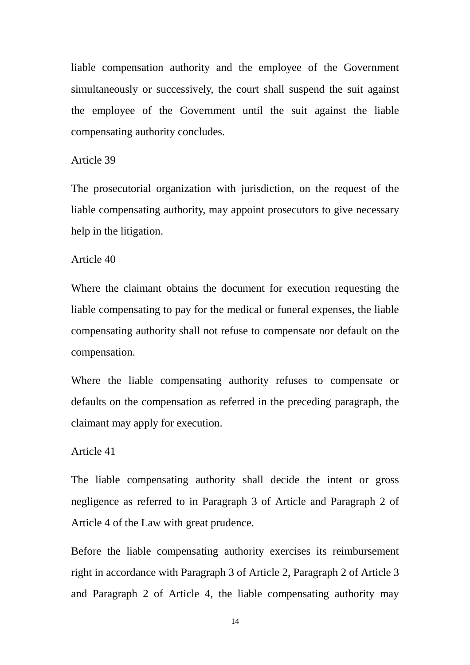liable compensation authority and the employee of the Government simultaneously or successively, the court shall suspend the suit against the employee of the Government until the suit against the liable compensating authority concludes.

### Article 39

The prosecutorial organization with jurisdiction, on the request of the liable compensating authority, may appoint prosecutors to give necessary help in the litigation.

#### Article 40

Where the claimant obtains the document for execution requesting the liable compensating to pay for the medical or funeral expenses, the liable compensating authority shall not refuse to compensate nor default on the compensation.

Where the liable compensating authority refuses to compensate or defaults on the compensation as referred in the preceding paragraph, the claimant may apply for execution.

### Article 41

The liable compensating authority shall decide the intent or gross negligence as referred to in Paragraph 3 of Article and Paragraph 2 of Article 4 of the Law with great prudence.

Before the liable compensating authority exercises its reimbursement right in accordance with Paragraph 3 of Article 2, Paragraph 2 of Article 3 and Paragraph 2 of Article 4, the liable compensating authority may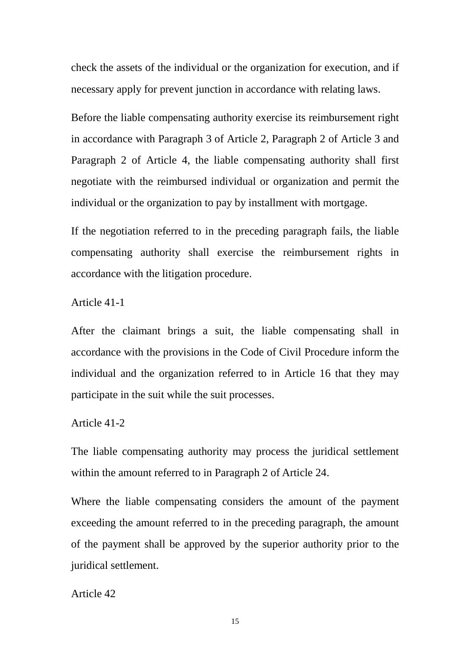check the assets of the individual or the organization for execution, and if necessary apply for prevent junction in accordance with relating laws.

Before the liable compensating authority exercise its reimbursement right in accordance with Paragraph 3 of Article 2, Paragraph 2 of Article 3 and Paragraph 2 of Article 4, the liable compensating authority shall first negotiate with the reimbursed individual or organization and permit the individual or the organization to pay by installment with mortgage.

If the negotiation referred to in the preceding paragraph fails, the liable compensating authority shall exercise the reimbursement rights in accordance with the litigation procedure.

Article 41-1

After the claimant brings a suit, the liable compensating shall in accordance with the provisions in the Code of Civil Procedure inform the individual and the organization referred to in Article 16 that they may participate in the suit while the suit processes.

Article 41-2

The liable compensating authority may process the juridical settlement within the amount referred to in Paragraph 2 of Article 24.

Where the liable compensating considers the amount of the payment exceeding the amount referred to in the preceding paragraph, the amount of the payment shall be approved by the superior authority prior to the juridical settlement.

Article 42